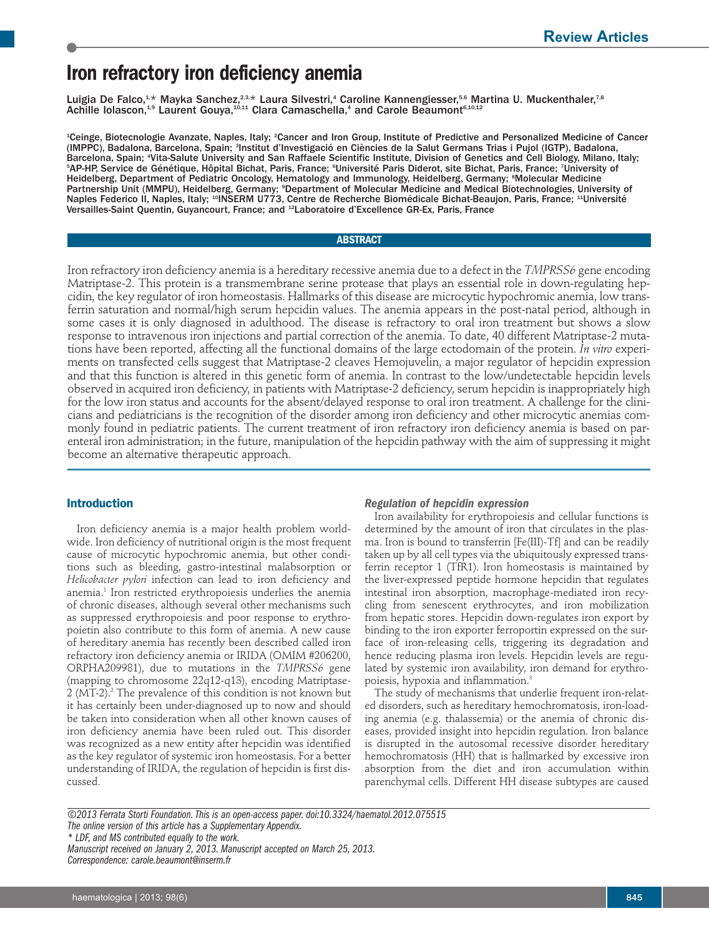# **Iron refractory iron deficiency anemia**

Luigia De Falco,<sup>1,</sup>\* Mayka Sanchez,<sup>2,3,</sup>\* Laura Silvestri,<sup>4</sup> Caroline Kannengiesser,<sup>5,6</sup> Martina U. Muckenthaler,<sup>7,8</sup> Achille lolascon,<sup>1,9</sup> Laurent Gouya,<sup>10,11</sup> Clara Camaschella,<sup>4</sup> and Carole Beaumont<sup>6,10,12</sup>

<sup>1</sup>Ceinge, Biotecnologie Avanzate, Naples, Italy; <sup>2</sup>Cancer and Iron Group, Institute of Predictive and Personalized Medicine of Cancer (IMPPC), Badalona, Barcelona, Spain; <sup>a</sup>lnstitut d'Investigació en Ciències de la Salut Germans Trias i Pujol (IGTP), Badalona, Barcelona, Spain; <sup>4</sup> Vita-Salute University and San Raffaele Scientific Institute, Division of Genetics and Cell Biology, Milano, Italy; 5AP-HP, Service de Génétique, Hôpital Bichat, Paris, France; <sup>e</sup>Université Paris Diderot, site Bichat, Paris, France; 7University of Heidelberg, Department of Pediatric Oncology, Hematology and Immunology, Heidelberg, Germany; <sup>s</sup>Molecular Medicine Partnership Unit (MMPU), Heidelberg, Germany; <sup>9</sup>Department of Molecular Medicine and Medical Biotechnologies, University of Naples Federico II, Naples, Italy; <sup>10</sup>INSERM U773, Centre de Recherche Biomédicale Bichat-Beaujon, Paris, France; <sup>11</sup>Université Versailles-Saint Quentin, Guyancourt, France; and <sup>12</sup> Laboratoire d'Excellence GR-Ex, Paris, France

#### **ABSTRACT**

Iron refractory iron deficiency anemia is a hereditary recessive anemia due to a defect in the *TMPRSS6* gene encoding Matriptase-2. This protein is a transmembrane serine protease that plays an essential role in down-regulating hepcidin, the key regulator of iron homeostasis. Hallmarks of this disease are microcytic hypochromic anemia, low transferrin saturation and normal/high serum hepcidin values. The anemia appears in the post-natal period, although in some cases it is only diagnosed in adulthood. The disease is refractory to oral iron treatment but shows a slow response to intravenous iron injections and partial correction of the anemia. To date, 40 different Matriptase-2 mutations have been reported, affecting all the functional domains of the large ectodomain of the protein. *In vitro* experiments on transfected cells suggest that Matriptase-2 cleaves Hemojuvelin, a major regulator of hepcidin expression and that this function is altered in this genetic form of anemia. In contrast to the low/undetectable hepcidin levels observed in acquired iron deficiency, in patients with Matriptase-2 deficiency, serum hepcidin is inappropriately high for the low iron status and accounts for the absent/delayed response to oral iron treatment. A challenge for the clinicians and pediatricians is the recognition of the disorder among iron deficiency and other microcytic anemias commonly found in pediatric patients. The current treatment of iron refractory iron deficiency anemia is based on parenteral iron administration; in the future, manipulation of the hepcidin pathway with the aim of suppressing it might become an alternative therapeutic approach.

### **Introduction**

Iron deficiency anemia is a major health problem worldwide. Iron deficiency of nutritional origin is the most frequent cause of microcytic hypochromic anemia, but other conditions such as bleeding, gastro-intestinal malabsorption or *Helicobacter pylori* infection can lead to iron deficiency and anemia. <sup>1</sup> Iron restricted erythropoiesis underlies the anemia of chronic diseases, although several other mechanisms such as suppressed erythropoiesis and poor response to erythropoietin also contribute to this form of anemia. A new cause of hereditary anemia has recently been described called iron refractory iron deficiency anemia or IRIDA (OMIM #206200, ORPHA209981), due to mutations in the *TMPRSS6* gene (mapping to chromosome 22q12-q13), encoding Matriptase-2 (MT-2). <sup>2</sup> The prevalence of this condition is not known but it has certainly been under-diagnosed up to now and should be taken into consideration when all other known causes of iron deficiency anemia have been ruled out. This disorder was recognized as a new entity after hepcidin was identified as the key regulator of systemic iron homeostasis. For a better understanding of IRIDA, the regulation of hepcidin is first discussed.

#### *Regulation of hepcidin expression*

Iron availability for erythropoiesis and cellular functions is determined by the amount of iron that circulates in the plasma. Iron is bound to transferrin [Fe(III)-Tf] and can be readily taken up by all cell types via the ubiquitously expressed transferrin receptor 1 (TfR1). Iron homeostasis is maintained by the liver-expressed peptide hormone hepcidin that regulates intestinal iron absorption, macrophage-mediated iron recycling from senescent erythrocytes, and iron mobilization from hepatic stores. Hepcidin down-regulates iron export by binding to the iron exporter ferroportin expressed on the surface of iron-releasing cells, triggering its degradation and hence reducing plasma iron levels. Hepcidin levels are regulated by systemic iron availability, iron demand for erythropoiesis, hypoxia and inflammation. 3

The study of mechanisms that underlie frequent iron-related disorders, such as hereditary hemochromatosis, iron-loading anemia (e.g. thalassemia) or the anemia of chronic diseases, provided insight into hepcidin regulation. Iron balance is disrupted in the autosomal recessive disorder hereditary hemochromatosis (HH) that is hallmarked by excessive iron absorption from the diet and iron accumulation within parenchymal cells. Different HH disease subtypes are caused

*©2013 Ferrata Storti Foundation.This is an open-access paper.doi:10.3324/haematol.2012.075515*

The online version of this article has a Supplementary Appendix.<br>\* LDF, and MS contributed equally to the work.<br>Manuscript received on January 2, 2013. Manuscript accepted on March 25, 2013.

*Correspondence: carole.beaumont@inserm.fr*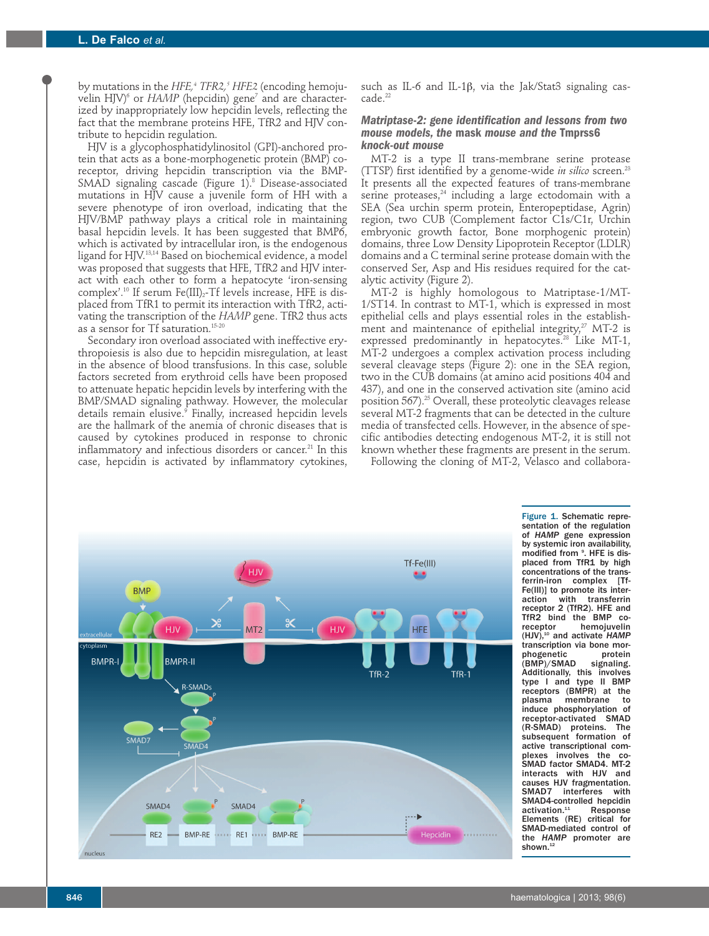by mutations in the *HFE, <sup>4</sup> TFR2, <sup>5</sup> HFE2* (encoding hemojuvelin HJV) $^{\circ}$  or *HAMP* (hepcidin) gene $^{\prime}$  and are characterized by inappropriately low hepcidin levels, reflecting the fact that the membrane proteins HFE, TfR2 and HJV contribute to hepcidin regulation.

HJV is a glycophosphatidylinositol (GPI)-anchored protein that acts as a bone-morphogenetic protein (BMP) coreceptor, driving hepcidin transcription via the BMP-SMAD signaling cascade (Figure 1). <sup>8</sup> Disease-associated mutations in HJV cause a juvenile form of HH with a severe phenotype of iron overload, indicating that the HJV/BMP pathway plays a critical role in maintaining basal hepcidin levels. It has been suggested that BMP6, which is activated by intracellular iron, is the endogenous ligand for HJV. 13,14 Based on biochemical evidence, a model was proposed that suggests that HFE, TfR2 and HJV interact with each other to form a hepatocyte 'iron-sensing complex'. <sup>10</sup> If serum Fe(III)2-Tf levels increase, HFE is displaced from TfR1 to permit its interaction with TfR2, activating the transcription of the *HAMP* gene. TfR2 thus acts as a sensor for Tf saturation. 15-20

Secondary iron overload associated with ineffective erythropoiesis is also due to hepcidin misregulation, at least in the absence of blood transfusions. In this case, soluble factors secreted from erythroid cells have been proposed to attenuate hepatic hepcidin levels by interfering with the BMP/SMAD signaling pathway. However, the molecular details remain elusive. <sup>9</sup> Finally, increased hepcidin levels are the hallmark of the anemia of chronic diseases that is caused by cytokines produced in response to chronic inflammatory and infectious disorders or cancer. $^{\scriptscriptstyle 21}$  In this case, hepcidin is activated by inflammatory cytokines,

such as IL-6 and IL-1 $\beta$ , via the Jak/Stat3 signaling cascade. 22

#### *Matriptase-2: gene identification and lessons from two mouse models, the* **mask** *mouse and the* **Tmprss6** *knock-out mouse*

MT-2 is a type II trans-membrane serine protease (TTSP) first identified by a genome-wide *in silico* screen. 23 It presents all the expected features of trans-membrane serine proteases, <sup>24</sup> including a large ectodomain with a SEA (Sea urchin sperm protein, Enteropeptidase, Agrin) region, two CUB (Complement factor C1s/C1r, Urchin embryonic growth factor, Bone morphogenic protein) domains, three Low Density Lipoprotein Receptor (LDLR) domains and a C terminal serine protease domain with the conserved Ser, Asp and His residues required for the catalytic activity (Figure 2).

MT-2 is highly homologous to Matriptase-1/MT-1/ST14. In contrast to MT-1, which is expressed in most epithelial cells and plays essential roles in the establishment and maintenance of epithelial integrity, $^{27}$  MT-2 is expressed predominantly in hepatocytes. <sup>28</sup> Like MT-1, MT-2 undergoes a complex activation process including several cleavage steps (Figure 2): one in the SEA region, two in the CUB domains (at amino acid positions 404 and 437), and one in the conserved activation site (amino acid position 567). <sup>25</sup> Overall, these proteolytic cleavages release several MT-2 fragments that can be detected in the culture media of transfected cells. However, in the absence of specific antibodies detecting endogenous MT-2, it is still not known whether these fragments are present in the serum.

Following the cloning of MT-2, Velasco and collabora-



Figure 1. Schematic representation of the regulation of *HAMP* gene expression by systemic iron availability, modified from <sup>9</sup>. HFE is displaced from TfR1 by high concentrations of the transferrin-iron complex [Tf-Fe(III)] to promote its interaction with transferrin receptor 2 (TfR2). HFE and TfR2 bind the BMP co-<br>receptor hemojuvelin hemojuvelin (HJV), <sup>10</sup> and activate *HAMP* transcription via bone mor-<br>phogenetic protein phogenetic protein<br>(BMP)/SMAD signaling.  $(BMP)/SMAD$ Additionally, this involves type I and type II BMP receptors (BMPR) at the plasma membrane to induce phosphorylation of receptor-activated SMAD (R-SMAD) proteins. The subsequent formation of active transcriptional complexes involves the co-SMAD factor SMAD4. MT-2 interacts with HJV and causes HJV fragmentation. SMAD7 interferes with SMAD4-controlled hepcidin activation. <sup>11</sup> Response Elements (RE) critical for SMAD-mediated control of the *HAMP* promoter are shown. 12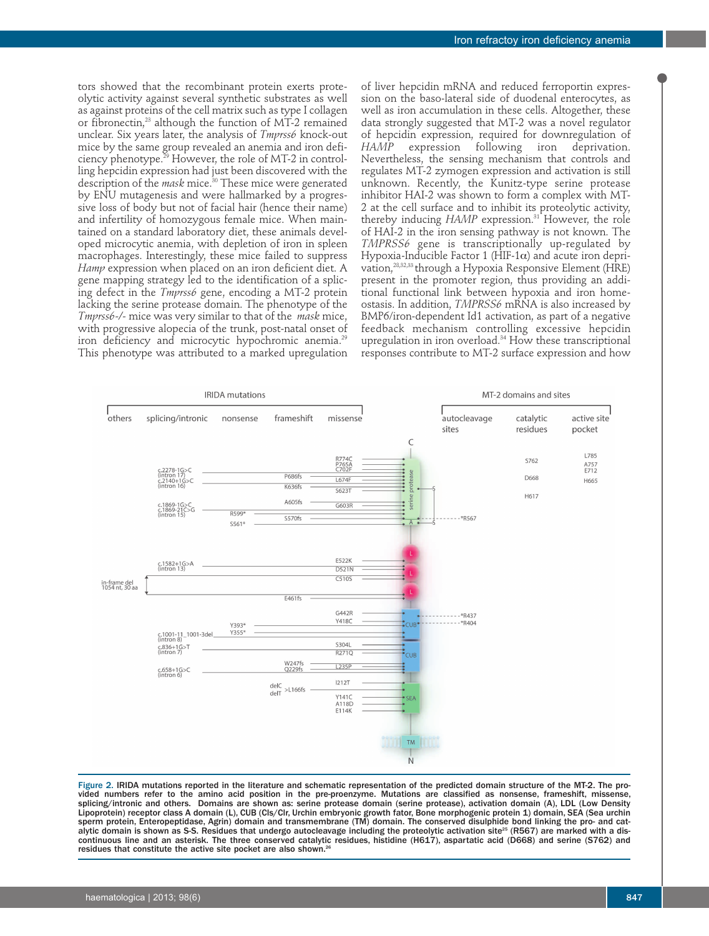tors showed that the recombinant protein exerts proteolytic activity against several synthetic substrates as well as against proteins of the cell matrix such as type I collagen or fibronectin, <sup>23</sup> although the function of MT-2 remained unclear. Six years later, the analysis of *Tmprss6* knock-out mice by the same group revealed an anemia and iron deficiency phenotype. <sup>29</sup> However, the role of MT-2 in controlling hepcidin expression had just been discovered with the description of the *mask* mice. <sup>30</sup> These mice were generated by ENU mutagenesis and were hallmarked by a progressive loss of body but not of facial hair (hence their name) and infertility of homozygous female mice. When maintained on a standard laboratory diet, these animals developed microcytic anemia, with depletion of iron in spleen macrophages. Interestingly, these mice failed to suppress *Hamp* expression when placed on an iron deficient diet. A gene mapping strategy led to the identification of a splicing defect in the *Tmprss6* gene, encoding a MT-2 protein lacking the serine protease domain. The phenotype of the *Tmprss6-/-* mice was very similar to that of the *mask* mice, with progressive alopecia of the trunk, post-natal onset of iron deficiency and microcytic hypochromic anemia. 29 This phenotype was attributed to a marked upregulation

of liver hepcidin mRNA and reduced ferroportin expression on the baso-lateral side of duodenal enterocytes, as well as iron accumulation in these cells. Altogether, these data strongly suggested that MT-2 was a novel regulator of hepcidin expression, required for downregulation of *HAMP* expression following iron deprivation. Nevertheless, the sensing mechanism that controls and regulates MT-2 zymogen expression and activation is still unknown. Recently, the Kunitz-type serine protease inhibitor HAI-2 was shown to form a complex with MT-2 at the cell surface and to inhibit its proteolytic activity, thereby inducing *HAMP* expression. <sup>31</sup> However, the role of HAI-2 in the iron sensing pathway is not known. The *TMPRSS6* gene is transcriptionally up-regulated by Hypoxia-Inducible Factor 1 (HIF-1 $\alpha$ ) and acute iron deprivation, 28,32,33 through a Hypoxia Responsive Element (HRE) present in the promoter region, thus providing an additional functional link between hypoxia and iron homeostasis. In addition, *TMPRSS6* mRNA is also increased by BMP6/iron-dependent Id1 activation, as part of a negative feedback mechanism controlling excessive hepcidin upregulation in iron overload. <sup>34</sup> How these transcriptional responses contribute to MT-2 surface expression and how



Figure 2. IRIDA mutations reported in the literature and schematic representation of the predicted domain structure of the MT-2. The provided numbers refer to the amino acid position in the pre-proenzyme. Mutations are classified as nonsense, frameshift, missense, splicing/intronic and others. Domains are shown as: serine protease domain (serine protease), activation domain (A), LDL (Low Density Lipoprotein) receptor class A domain (L), CUB (Cls/Clr, Urchin embryonic growth fator, Bone morphogenic protein 1) domain, SEA (Sea urchin sperm protein, Enteropeptidase, Agrin) domain and transmembrane (TM) domain. The conserved disulphide bond linking the pro- and catalytic domain is shown as S-S. Residues that undergo autocleavage including the proteolytic activation site<sup>25</sup> (R567) are marked with a discontinuous line and an asterisk. The three conserved catalytic residues, histidine (H617), aspartatic acid (D668) and serine (S762) and residues that constitute the active site pocket are also shown. 26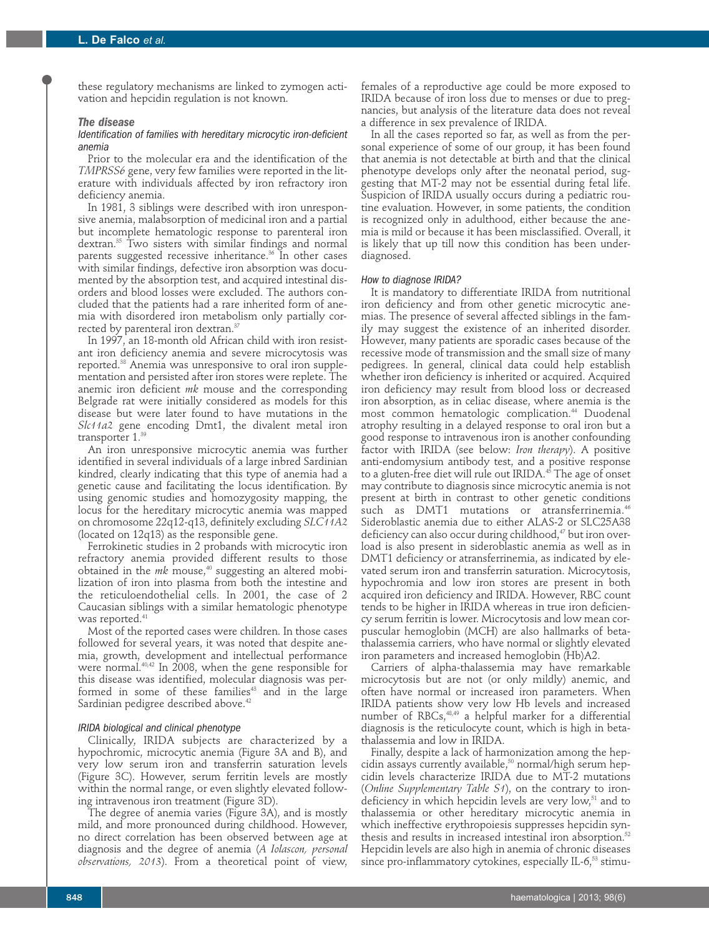these regulatory mechanisms are linked to zymogen activation and hepcidin regulation is not known.

#### *The disease*

#### *Identification of families with hereditary microcytic iron-deficient anemia*

Prior to the molecular era and the identification of the *TMPRSS6* gene, very few families were reported in the literature with individuals affected by iron refractory iron deficiency anemia.

In 1981, 3 siblings were described with iron unresponsive anemia, malabsorption of medicinal iron and a partial but incomplete hematologic response to parenteral iron dextran. <sup>35</sup> Two sisters with similar findings and normal parents suggested recessive inheritance. <sup>36</sup> In other cases with similar findings, defective iron absorption was documented by the absorption test, and acquired intestinal disorders and blood losses were excluded. The authors concluded that the patients had a rare inherited form of anemia with disordered iron metabolism only partially corrected by parenteral iron dextran. 37

In 1997, an 18-month old African child with iron resistant iron deficiency anemia and severe microcytosis was reported. <sup>38</sup> Anemia was unresponsive to oral iron supplementation and persisted after iron stores were replete. The anemic iron deficient *mk* mouse and the corresponding Belgrade rat were initially considered as models for this disease but were later found to have mutations in the *Slc11a2* gene encoding Dmt1, the divalent metal iron transporter 1. 39

An iron unresponsive microcytic anemia was further identified in several individuals of a large inbred Sardinian kindred, clearly indicating that this type of anemia had a genetic cause and facilitating the locus identification. By using genomic studies and homozygosity mapping, the locus for the hereditary microcytic anemia was mapped on chromosome 22q12-q13, definitely excluding *SLC11A2* (located on 12q13) as the responsible gene.

Ferrokinetic studies in 2 probands with microcytic iron refractory anemia provided different results to those obtained in the *mk* mouse, <sup>40</sup> suggesting an altered mobilization of iron into plasma from both the intestine and the reticuloendothelial cells. In 2001, the case of 2 Caucasian siblings with a similar hematologic phenotype was reported. 41

Most of the reported cases were children. In those cases followed for several years, it was noted that despite anemia, growth, development and intellectual performance were normal. 40,42 In 2008, when the gene responsible for this disease was identified, molecular diagnosis was performed in some of these families<sup>43</sup> and in the large Sardinian pedigree described above. 42

#### *IRIDA biological and clinical phenotype*

Clinically, IRIDA subjects are characterized by a hypochromic, microcytic anemia (Figure 3A and B), and very low serum iron and transferrin saturation levels (Figure 3C). However, serum ferritin levels are mostly within the normal range, or even slightly elevated following intravenous iron treatment (Figure 3D).

The degree of anemia varies (Figure 3A), and is mostly mild, and more pronounced during childhood. However, no direct correlation has been observed between age at diagnosis and the degree of anemia (*A Iolascon, personal observations, 2013*). From a theoretical point of view,

females of a reproductive age could be more exposed to IRIDA because of iron loss due to menses or due to pregnancies, but analysis of the literature data does not reveal a difference in sex prevalence of IRIDA.

In all the cases reported so far, as well as from the personal experience of some of our group, it has been found that anemia is not detectable at birth and that the clinical phenotype develops only after the neonatal period, suggesting that MT-2 may not be essential during fetal life. Suspicion of IRIDA usually occurs during a pediatric routine evaluation. However, in some patients, the condition is recognized only in adulthood, either because the anemia is mild or because it has been misclassified. Overall, it is likely that up till now this condition has been underdiagnosed.

#### *How to diagnose IRIDA?*

It is mandatory to differentiate IRIDA from nutritional iron deficiency and from other genetic microcytic anemias. The presence of several affected siblings in the family may suggest the existence of an inherited disorder. However, many patients are sporadic cases because of the recessive mode of transmission and the small size of many pedigrees. In general, clinical data could help establish whether iron deficiency is inherited or acquired. Acquired iron deficiency may result from blood loss or decreased iron absorption, as in celiac disease, where anemia is the most common hematologic complication. <sup>44</sup> Duodenal atrophy resulting in a delayed response to oral iron but a good response to intravenous iron is another confounding factor with IRIDA (see below: *Iron therapy*). A positive anti-endomysium antibody test, and a positive response to a gluten-free diet will rule out IRIDA. <sup>45</sup> The age of onset may contribute to diagnosis since microcytic anemia is not present at birth in contrast to other genetic conditions such as DMT1 mutations or atransferrinemia. 46 Sideroblastic anemia due to either ALAS-2 or SLC25A38 deficiency can also occur during childhood, <sup>47</sup> but iron overload is also present in sideroblastic anemia as well as in DMT1 deficiency or atransferrinemia, as indicated by elevated serum iron and transferrin saturation. Microcytosis, hypochromia and low iron stores are present in both acquired iron deficiency and IRIDA. However, RBC count tends to be higher in IRIDA whereas in true iron deficiency serum ferritin is lower. Microcytosis and low mean corpuscular hemoglobin (MCH) are also hallmarks of betathalassemia carriers, who have normal or slightly elevated iron parameters and increased hemoglobin (Hb)A2.

Carriers of alpha-thalassemia may have remarkable microcytosis but are not (or only mildly) anemic, and often have normal or increased iron parameters. When IRIDA patients show very low Hb levels and increased number of RBCs, 48,49 a helpful marker for a differential diagnosis is the reticulocyte count, which is high in betathalassemia and low in IRIDA.

Finally, despite a lack of harmonization among the hepcidin assays currently available, <sup>50</sup> normal/high serum hepcidin levels characterize IRIDA due to MT-2 mutations (*Online Supplementary Table S1*), on the contrary to irondeficiency in which hepcidin levels are very low, <sup>51</sup> and to thalassemia or other hereditary microcytic anemia in which ineffective erythropoiesis suppresses hepcidin synthesis and results in increased intestinal iron absorption. 52 Hepcidin levels are also high in anemia of chronic diseases since pro-inflammatory cytokines, especially IL-6,<sup>53</sup> stimu-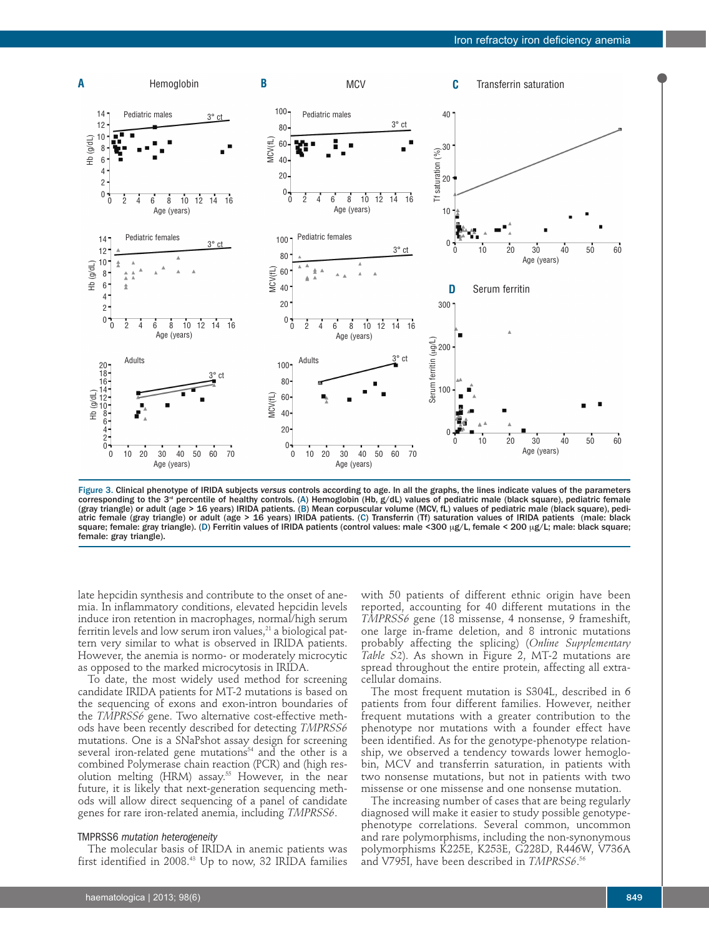

Figure 3. Clinical phenotype of IRIDA subjects *versus* controls according to age. In all the graphs, the lines indicate values of the parameters corresponding to the 3<sup>rd</sup> percentile of healthy controls. (A) Hemoglobin (Hb, g/dL) values of pediatric male (black square), pediatric female (gray triangle) or adult (age > 16 years) IRIDA patients. (B) Mean corpuscular volume (MCV, fL) values of pediatric male (black square), pediatric female (gray triangle) or adult (age > 16 years) IRIDA patients. (C) Transferrin (Tf) saturation values of IRIDA patients (male: black square; female: gray triangle). (D) Ferritin values of IRIDA patients (control values: male <300 µg/L, female < 200 µg/L; male: black square; female: gray triangle).

late hepcidin synthesis and contribute to the onset of anemia. In inflammatory conditions, elevated hepcidin levels induce iron retention in macrophages, normal/high serum ferritin levels and low serum iron values, $^{\scriptscriptstyle 21}$  a biological pattern very similar to what is observed in IRIDA patients. However, the anemia is normo- or moderately microcytic as opposed to the marked microcytosis in IRIDA.

To date, the most widely used method for screening candidate IRIDA patients for MT-2 mutations is based on the sequencing of exons and exon-intron boundaries of the *TMPRSS6* gene. Two alternative cost-effective methods have been recently described for detecting *TMPRSS6* mutations. One is a SNaPshot assay design for screening several iron-related gene mutations $54$  and the other is a combined Polymerase chain reaction (PCR) and (high resolution melting (HRM) assay. <sup>55</sup> However, in the near future, it is likely that next-generation sequencing methods will allow direct sequencing of a panel of candidate genes for rare iron-related anemia, including *TMPRSS6*.

#### TMPRSS6 *mutation heterogeneity*

The molecular basis of IRIDA in anemic patients was first identified in 2008. <sup>43</sup> Up to now, 32 IRIDA families

with 50 patients of different ethnic origin have been reported, accounting for 40 different mutations in the *TMPRSS6* gene (18 missense, 4 nonsense, 9 frameshift, one large in-frame deletion, and 8 intronic mutations probably affecting the splicing) (*Online Supplementary Table S2*). As shown in Figure 2, MT-2 mutations are spread throughout the entire protein, affecting all extracellular domains.

The most frequent mutation is S304L, described in 6 patients from four different families. However, neither frequent mutations with a greater contribution to the phenotype nor mutations with a founder effect have been identified. As for the genotype-phenotype relationship, we observed a tendency towards lower hemoglobin, MCV and transferrin saturation, in patients with two nonsense mutations, but not in patients with two missense or one missense and one nonsense mutation.

The increasing number of cases that are being regularly diagnosed will make it easier to study possible genotypephenotype correlations. Several common, uncommon and rare polymorphisms, including the non-synonymous polymorphisms K225E, K253E, G228D, R446W, V736A and V795I, have been described in *TMPRSS6*. 56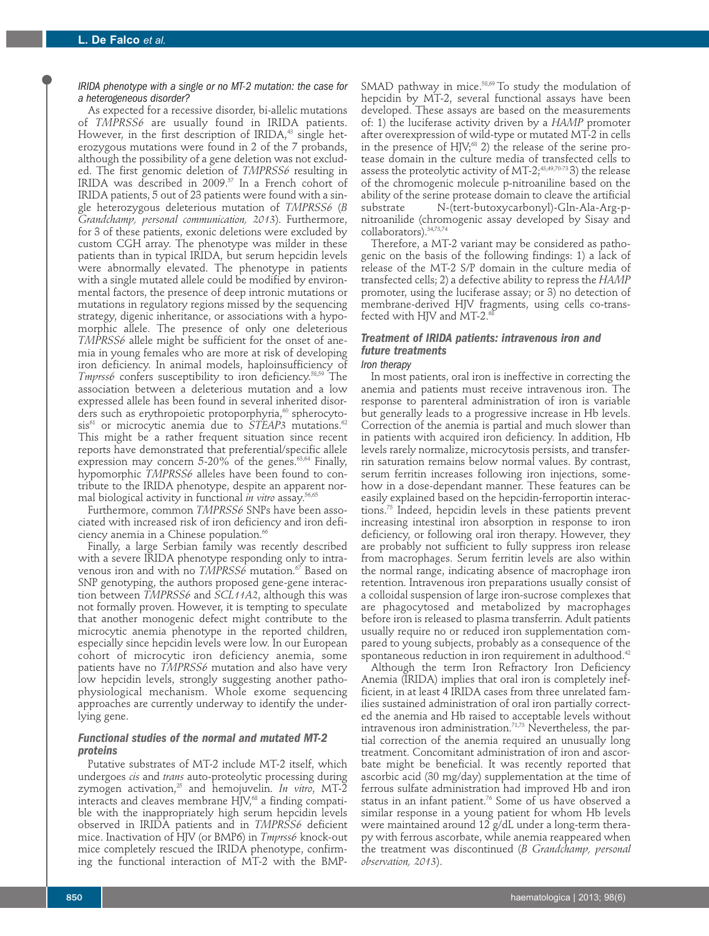#### *IRIDA phenotype with a single or no MT-2 mutation: the case for a heterogeneous disorder?*

As expected for a recessive disorder, bi-allelic mutations of *TMPRSS6* are usually found in IRIDA patients. However, in the first description of IRIDA, <sup>43</sup> single heterozygous mutations were found in 2 of the 7 probands, although the possibility of a gene deletion was not excluded. The first genomic deletion of *TMPRSS6* resulting in IRIDA was described in 2009. <sup>57</sup> In a French cohort of IRIDA patients, 5 out of 23 patients were found with a single heterozygous deleterious mutation of *TMPRSS6* (*B Grandchamp, personal communication, 2013*). Furthermore, for 3 of these patients, exonic deletions were excluded by custom CGH array. The phenotype was milder in these patients than in typical IRIDA, but serum hepcidin levels were abnormally elevated. The phenotype in patients with a single mutated allele could be modified by environmental factors, the presence of deep intronic mutations or mutations in regulatory regions missed by the sequencing strategy, digenic inheritance, or associations with a hypomorphic allele. The presence of only one deleterious *TMPRSS6* allele might be sufficient for the onset of anemia in young females who are more at risk of developing iron deficiency. In animal models, haploinsufficiency of *Tmprss6* confers susceptibility to iron deficiency. 58,59 The association between a deleterious mutation and a low expressed allele has been found in several inherited disorders such as erythropoietic protoporphyria, <sup>60</sup> spherocytosis<sup>61</sup> or microcytic anemia due to *STEAP3* mutations.<sup>62</sup> This might be a rather frequent situation since recent reports have demonstrated that preferential/specific allele expression may concern 5-20% of the genes.<sup>63,64</sup> Finally, hypomorphic *TMPRSS6* alleles have been found to contribute to the IRIDA phenotype, despite an apparent normal biological activity in functional *in vitro* assay. 56,65

Furthermore, common *TMPRSS6* SNPs have been associated with increased risk of iron deficiency and iron deficiency anemia in a Chinese population. 66

Finally, a large Serbian family was recently described with a severe IRIDA phenotype responding only to intravenous iron and with no *TMPRSS6* mutation. <sup>67</sup> Based on SNP genotyping, the authors proposed gene-gene interaction between *TMPRSS6* and *SCL11A2*, although this was not formally proven. However, it is tempting to speculate that another monogenic defect might contribute to the microcytic anemia phenotype in the reported children, especially since hepcidin levels were low. In our European cohort of microcytic iron deficiency anemia, some patients have no *TMPRSS6* mutation and also have very low hepcidin levels, strongly suggesting another pathophysiological mechanism. Whole exome sequencing approaches are currently underway to identify the underlying gene.

# *Functional studies of the normal and mutated MT-2 proteins*

Putative substrates of MT-2 include MT-2 itself, which undergoes *cis* and *trans* auto-proteolytic processing during zymogen activation, <sup>25</sup> and hemojuvelin. *In vitro*, MT-2 interacts and cleaves membrane HJV, <sup>68</sup> a finding compatible with the inappropriately high serum hepcidin levels observed in IRIDA patients and in *TMPRSS6* deficient mice. Inactivation of HJV (or BMP6) in *Tmprss6* knock-out mice completely rescued the IRIDA phenotype, confirming the functional interaction of MT-2 with the BMP-

SMAD pathway in mice. 58,69 To study the modulation of hepcidin by MT-2, several functional assays have been developed. These assays are based on the measurements of: 1) the luciferase activity driven by a *HAMP* promoter after overexpression of wild-type or mutated MT-2 in cells in the presence of HJV; $\degree$  2) the release of the serine protease domain in the culture media of transfected cells to assess the proteolytic activity of MT-2; $^{43,49,70\cdot73}$ 3) the release of the chromogenic molecule p-nitroaniline based on the ability of the serine protease domain to cleave the artificial<br>substrate M-(tert-butoxycarbonyl)-Gln-Ala-Arg-p-N-(tert-butoxycarbonyl)-Gln-Ala-Arg-pnitroanilide (chromogenic assay developed by Sisay and collaborators). 34,73,74

Therefore, a MT-2 variant may be considered as pathogenic on the basis of the following findings: 1) a lack of release of the MT-2 S/P domain in the culture media of transfected cells; 2) a defective ability to repress the *HAMP* promoter, using the luciferase assay; or 3) no detection of membrane-derived HJV fragments, using cells co-transfected with HJV and MT-2. 68

# *Treatment of IRIDA patients: intravenous iron and future treatments*

#### *Iron therapy*

In most patients, oral iron is ineffective in correcting the anemia and patients must receive intravenous iron. The response to parenteral administration of iron is variable but generally leads to a progressive increase in Hb levels. Correction of the anemia is partial and much slower than in patients with acquired iron deficiency. In addition, Hb levels rarely normalize, microcytosis persists, and transferrin saturation remains below normal values. By contrast, serum ferritin increases following iron injections, somehow in a dose-dependant manner. These features can be easily explained based on the hepcidin-ferroportin interactions. <sup>75</sup> Indeed, hepcidin levels in these patients prevent increasing intestinal iron absorption in response to iron deficiency, or following oral iron therapy. However, they are probably not sufficient to fully suppress iron release from macrophages. Serum ferritin levels are also within the normal range, indicating absence of macrophage iron retention. Intravenous iron preparations usually consist of a colloidal suspension of large iron-sucrose complexes that are phagocytosed and metabolized by macrophages before iron is released to plasma transferrin. Adult patients usually require no or reduced iron supplementation compared to young subjects, probably as a consequence of the spontaneous reduction in iron requirement in adulthood. 42

Although the term Iron Refractory Iron Deficiency Anemia (IRIDA) implies that oral iron is completely inefficient, in at least 4 IRIDA cases from three unrelated families sustained administration of oral iron partially corrected the anemia and Hb raised to acceptable levels without intravenous iron administration. 71,73 Nevertheless, the partial correction of the anemia required an unusually long treatment. Concomitant administration of iron and ascorbate might be beneficial. It was recently reported that ascorbic acid (30 mg/day) supplementation at the time of ferrous sulfate administration had improved Hb and iron status in an infant patient. <sup>76</sup> Some of us have observed a similar response in a young patient for whom Hb levels were maintained around 12 g/dL under a long-term therapy with ferrous ascorbate, while anemia reappeared when the treatment was discontinued (*B Grandchamp, personal observation, 2013*).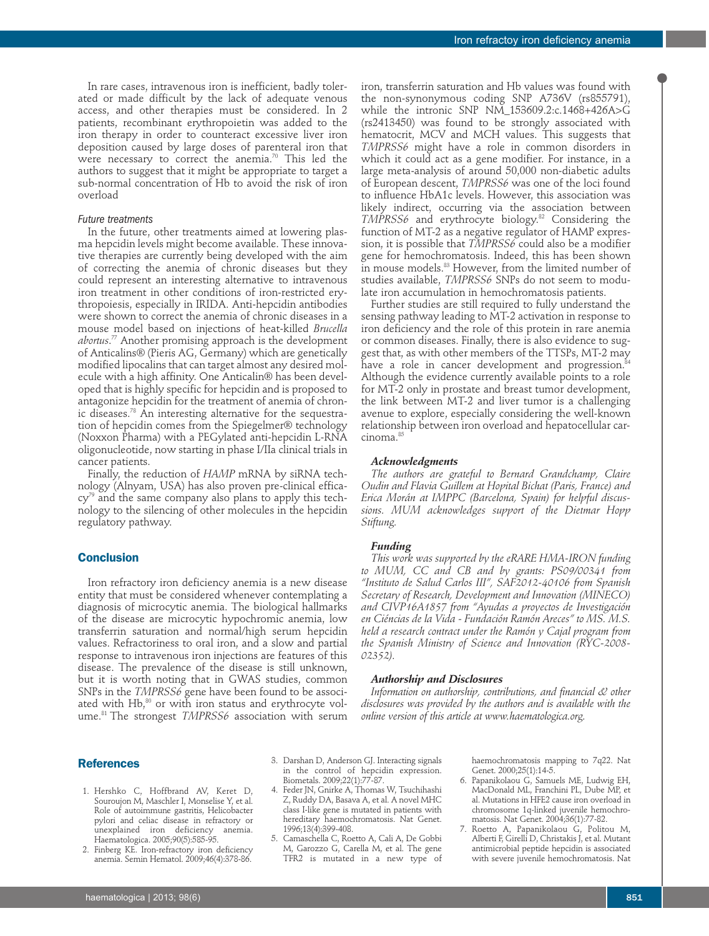In rare cases, intravenous iron is inefficient, badly tolerated or made difficult by the lack of adequate venous access, and other therapies must be considered. In 2 patients, recombinant erythropoietin was added to the iron therapy in order to counteract excessive liver iron deposition caused by large doses of parenteral iron that were necessary to correct the anemia. $^{\prime\text{o}}$  This led the authors to suggest that it might be appropriate to target a sub-normal concentration of Hb to avoid the risk of iron overload

#### *Future treatments*

In the future, other treatments aimed at lowering plasma hepcidin levels might become available. These innovative therapies are currently being developed with the aim of correcting the anemia of chronic diseases but they could represent an interesting alternative to intravenous iron treatment in other conditions of iron-restricted erythropoiesis, especially in IRIDA. Anti-hepcidin antibodies were shown to correct the anemia of chronic diseases in a mouse model based on injections of heat-killed *Brucella abortus*. <sup>77</sup> Another promising approach is the development of Anticalins® (Pieris AG, Germany) which are genetically modified lipocalins that can target almost any desired molecule with a high affinity. One Anticalin® has been developed that is highly specific for hepcidin and is proposed to antagonize hepcidin for the treatment of anemia of chronic diseases. <sup>78</sup> An interesting alternative for the sequestration of hepcidin comes from the Spiegelmer® technology (Noxxon Pharma) with a PEGylated anti-hepcidin L-RNA oligonucleotide, now starting in phase I/IIa clinical trials in cancer patients.

Finally, the reduction of *HAMP* mRNA by siRNA technology (Alnyam, USA) has also proven pre-clinical effica $cy^{79}$  and the same company also plans to apply this technology to the silencing of other molecules in the hepcidin regulatory pathway.

#### **Conclusion**

Iron refractory iron deficiency anemia is a new disease entity that must be considered whenever contemplating a diagnosis of microcytic anemia. The biological hallmarks of the disease are microcytic hypochromic anemia, low transferrin saturation and normal/high serum hepcidin values. Refractoriness to oral iron, and a slow and partial response to intravenous iron injections are features of this disease. The prevalence of the disease is still unknown, but it is worth noting that in GWAS studies, common SNPs in the *TMPRSS6* gene have been found to be associated with Hb, $^{\text{80}}$  or with iron status and erythrocyte volume. <sup>81</sup> The strongest *TMPRSS6* association with serum

iron, transferrin saturation and Hb values was found with the non-synonymous coding SNP A736V (rs855791), while the intronic SNP NM\_153609.2:c.1468+426A>G (rs2413450) was found to be strongly associated with hematocrit, MCV and MCH values. This suggests that *TMPRSS6* might have a role in common disorders in which it could act as a gene modifier. For instance, in a large meta-analysis of around 50,000 non-diabetic adults of European descent, *TMPRSS6* was one of the loci found to influence HbA1c levels. However, this association was likely indirect, occurring via the association between *TMPRSS6* and erythrocyte biology. <sup>82</sup> Considering the function of MT-2 as a negative regulator of HAMP expression, it is possible that *TMPRSS6* could also be a modifier gene for hemochromatosis. Indeed, this has been shown in mouse models. <sup>83</sup> However, from the limited number of studies available, *TMPRSS6* SNPs do not seem to modulate iron accumulation in hemochromatosis patients.

Further studies are still required to fully understand the sensing pathway leading to MT-2 activation in response to iron deficiency and the role of this protein in rare anemia or common diseases. Finally, there is also evidence to suggest that, as with other members of the TTSPs, MT-2 may have a role in cancer development and progression. 84 Although the evidence currently available points to a role for MT-2 only in prostate and breast tumor development, the link between MT-2 and liver tumor is a challenging avenue to explore, especially considering the well-known relationship between iron overload and hepatocellular carcinoma. 85

#### *Acknowledgments*

*The authors are grateful to Bernard Grandchamp, Claire Oudin and Flavia Guillem at Hopital Bichat (Paris, France) and Erica Morán at IMPPC (Barcelona, Spain) for helpful discussions. MUM acknowledges support of the Dietmar Hopp Stiftung.*

#### *Funding*

*This work was supported by the eRARE HMA-IRON funding to MUM, CC and CB and by grants: PS09/00341 from "Instituto de Salud Carlos III", SAF2012-40106 from Spanish Secretary of Research, Development and Innovation (MINECO) and CIVP16A1857 from "Ayudas a proyectos de Investigación en Ciéncias de la Vida - Fundación Ramón Areces" to MS. M.S. held a research contract under the Ramón y Cajal program from the Spanish Ministry of Science and Innovation (RYC-2008- 02352).*

#### *Authorship and Disclosures*

*Information on authorship, contributions, and financial & other disclosures was provided by the authors and is available with the online version of this article at www.haematologica.org.*

## **References**

- 1. Hershko C, Hoffbrand AV, Keret D, Souroujon M, Maschler I, Monselise Y, et al. Role of autoimmune gastritis, Helicobacter pylori and celiac disease in refractory or unexplained iron deficiency anemia. Haematologica. 2005;90(5):585-95.
- 2. Finberg KE. Iron-refractory iron deficiency anemia. Semin Hematol. 2009;46(4):378-86.
- 3. Darshan D, Anderson GJ. Interacting signals in the control of hepcidin expression. Biometals. 2009;22(1):77-87.
- 4. Feder JN, Gnirke A, Thomas W, Tsuchihashi Z, Ruddy DA, Basava A, et al. A novel MHC class I-like gene is mutated in patients with hereditary haemochromatosis. Nat Genet. 1996;13(4):399-408.
- 5. Camaschella C, Roetto A, Cali A, De Gobbi M, Garozzo G, Carella M, et al. The gene TFR2 is mutated in a new type of

haemochromatosis mapping to 7q22. Nat Genet. 2000;25(1):14-5.

- 6. Papanikolaou G, Samuels ME, Ludwig EH, MacDonald ML, Franchini PL, Dube MP, et al. Mutations in HFE2 cause iron overload in chromosome 1q-linked juvenile hemochromatosis. Nat Genet. 2004;36(1):77-82.
- 7. Roetto A, Papanikolaou G, Politou M, Alberti F, Girelli D, Christakis J, et al. Mutant antimicrobial peptide hepcidin is associated with severe juvenile hemochromatosis. Nat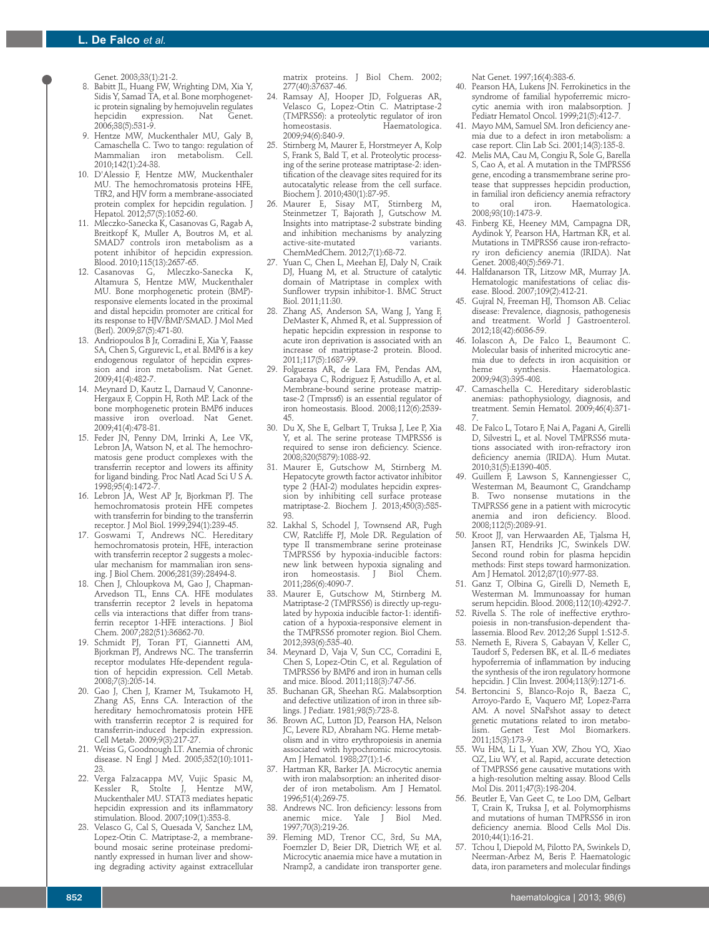Genet. 2003;33(1):21-2.

- 8. Babitt JL, Huang FW, Wrighting DM, Xia Y, Sidis Y, Samad TA, et al. Bone morphogenetic protein signaling by hemojuvelin regulates hepcidin expression. Nat Genet. 2006;38(5):531-9.
- 9. Hentze MW, Muckenthaler MU, Galy B, Camaschella C. Two to tango: regulation of Mammalian iron metabolism. 2010;142(1):24-38.
- 10. D'Alessio F, Hentze MW, Muckenthaler MU. The hemochromatosis proteins HFE, TfR2, and HIV form a membrane-associated protein complex for hepcidin regulation. J Hepatol. 2012;57(5):1052-60.
- 11. Mleczko-Sanecka K, Casanovas G, Ragab A, Breitkopf K, Muller A, Boutros M, et al. SMAD7 controls iron metabolism as a potent inhibitor of hepcidin expression. Blood. 2010;115(13):2657-65.
- 12. Casanovas G, Mleczko-Sanecka Altamura S, Hentze MW, Muckenthaler MU. Bone morphogenetic protein (BMP) responsive elements located in the proximal and distal hepcidin promoter are critical for its response to HJV/BMP/SMAD. J Mol Med (Berl). 2009;87(5):471-80.
- 13. Andriopoulos B Jr, Corradini E, Xia Y, Faasse SA, Chen S, Grgurevic L, et al. BMP6 is a key endogenous regulator of hepcidin expression and iron metabolism. Nat Genet. 2009;41(4):482-7.
- 14. Meynard D, Kautz L, Darnaud V, Canonne-Hergaux F, Coppin H, Roth MP. Lack of the bone morphogenetic protein BMP6 induces<br>massive iron overload. Nat Genet. iron overload. Nat Genet. 2009;41(4):478-81.
- 15. Feder JN, Penny DM, Irrinki A, Lee VK, Lebron JA, Watson N, et al. The hemochromatosis gene product complexes with the transferrin receptor and lowers its affinity for ligand binding. Proc Natl Acad Sci U S A. 1998;95(4):1472-7.
- 16. Lebron JA, West AP Jr, Bjorkman PJ. The hemochromatosis protein HFE competes with transferrin for binding to the transferrin receptor. J Mol Biol. 1999;294(1):239-45.
- 17. Goswami T, Andrews NC. Hereditary hemochromatosis protein, HFE, interaction with transferrin receptor 2 suggests a molecular mechanism for mammalian iron sensing. J Biol Chem. 2006;281(39):28494-8.
- 18. Chen J, Chloupkova M, Gao J, Chapman-Arvedson TL, Enns CA. HFE modulates transferrin receptor 2 levels in hepatoma cells via interactions that differ from transferrin receptor 1-HFE interactions. J Biol Chem. 2007;282(51):36862-70.
- 19. Schmidt PJ, Toran PT, Giannetti AM, Bjorkman PJ, Andrews NC. The transferrin receptor modulates Hfe-dependent regulation of hepcidin expression. Cell Metab. 2008;7(3):205-14.
- 20. Gao J, Chen J, Kramer M, Tsukamoto H, Zhang AS, Enns CA. Interaction of the hereditary hemochromatosis protein HFE with transferrin receptor 2 is required for transferrin-induced hepcidin expression. Cell Metab. 2009;9(3):217-27.
- 21. Weiss G, Goodnough LT. Anemia of chronic disease. N Engl J Med. 2005;352(10):1011- 23.
- 22. Verga Falzacappa MV, Vujic Spasic M, Kessler R, Stolte J, Hentze MW, Muckenthaler MU. STAT3 mediates hepatic hepcidin expression and its inflammatory stimulation. Blood. 2007;109(1):353-8.
- 23. Velasco G, Cal S, Quesada V, Sanchez LM, Lopez-Otin C. Matriptase-2, a membranebound mosaic serine proteinase predominantly expressed in human liver and showing degrading activity against extracellular

matrix proteins. J Biol Chem. 2002; 277(40):37637-46.

- 24. Ramsay AJ, Hooper JD, Folgueras AR, Velasco G, Lopez-Otin C. Matriptase-2 (TMPRSS6): a proteolytic regulator of iron homeostasis. Haematologica. 2009;94(6):840-9.
- 25. Stirnberg M, Maurer E, Horstmeyer A, Kolp S, Frank S, Bald T, et al. Proteolytic processing of the serine protease matriptase-2: identification of the cleavage sites required for its autocatalytic release from the cell surface. Biochem J. 2010;430(1):87-95.
- 26. Maurer E, Sisay MT, Stirnberg M, Steinmetzer T, Bajorath J, Gutschow M. Insights into matriptase-2 substrate binding and inhibition mechanisms by analyzing<br>active-site-mutated variants. active-site-mutated ChemMedChem. 2012;7(1):68-72.
- 27. Yuan C, Chen L, Meehan EJ, Daly N, Craik DJ, Huang M, et al. Structure of catalytic domain of Matriptase in complex with Sunflower trypsin inhibitor-1. BMC Struct Biol. 2011;11:30.
- 28. Zhang AS, Anderson SA, Wang J, Yang F, DeMaster K, Ahmed R, et al. Suppression of hepatic hepcidin expression in response to acute iron deprivation is associated with an increase of matriptase-2 protein. Blood. 2011;117(5):1687-99.
- 29. Folgueras AR, de Lara FM, Pendas AM, Garabaya C, Rodriguez F, Astudillo A, et al. Membrane-bound serine protease matriptase-2 (Tmprss6) is an essential regulator of iron homeostasis. Blood. 2008;112(6):2539- 45.
- 30. Du X, She E, Gelbart T, Truksa J, Lee P, Xia Y, et al. The serine protease TMPRSS6 is required to sense iron deficiency. Science. 2008;320(5879):1088-92.
- Maurer E, Gutschow M, Stirnberg M. Hepatocyte growth factor activator inhibitor type 2 (HAI-2) modulates hepcidin expression by inhibiting cell surface protease matriptase-2. Biochem J. 2013;450(3):585- 93.
- 32. Lakhal S, Schodel J, Townsend AR, Pugh CW, Ratcliffe PJ, Mole DR. Regulation of type II transmembrane serine proteinase TMPRSS6 by hypoxia-inducible factors: new link between hypoxia signaling and<br>iron homeostasis. J Biol Chem. homeostasis. 2011;286(6):4090-7.
- 33. Maurer E, Gutschow M, Stirnberg M. Matriptase-2 (TMPRSS6) is directly up-regulated by hypoxia inducible factor-1: identification of a hypoxia-responsive element in the TMPRSS6 promoter region. Biol Chem. 2012;393(6):535-40.
- 34. Meynard D, Vaja V, Sun CC, Corradini E, Chen S, Lopez-Otin C, et al. Regulation of TMPRSS6 by BMP6 and iron in human cells and mice. Blood. 2011;118(3):747-56.
- 35. Buchanan GR, Sheehan RG. Malabsorption and defective utilization of iron in three siblings. J Pediatr. 1981;98(5):723-8.
- 36. Brown AC, Lutton JD, Pearson HA, Nelson JC, Levere RD, Abraham NG. Heme metabolism and in vitro erythropoiesis in anemia associated with hypochromic microcytosis. Am J Hematol. 1988;27(1):1-6.
- 37. Hartman KR, Barker JA. Microcytic anemia with iron malabsorption: an inherited disorder of iron metabolism. Am J Hematol. 1996;51(4):269-75.
- 38. Andrews NC. Iron deficiency: lessons from Yale J Biol Med. 1997;70(3):219-26.
- 39. Fleming MD, Trenor CC, 3rd, Su MA, Foernzler D, Beier DR, Dietrich WF, et al. Microcytic anaemia mice have a mutation in Nramp2, a candidate iron transporter gene.

Nat Genet. 1997;16(4):383-6.

- 40. Pearson HA, Lukens JN. Ferrokinetics in the syndrome of familial hypoferremic microcytic anemia with iron malabsorption. J Pediatr Hematol Oncol. 1999;21(5):412-7.
- 41. Mayo MM, Samuel SM. Iron deficiency anemia due to a defect in iron metabolism: a case report. Clin Lab Sci. 2001;14(3):135-8.
- 42. Melis MA, Cau M, Congiu R, Sole G, Barella S, Cao A, et al. A mutation in the TMPRSS6 gene, encoding a transmembrane serine protease that suppresses hepcidin production, in familial iron deficiency anemia refractory to oral iron. Haematologica. 2008;93(10):1473-9.
- 43. Finberg KE, Heeney MM, Campagna DR, Aydinok Y, Pearson HA, Hartman KR, et al. Mutations in TMPRSS6 cause iron-refractory iron deficiency anemia (IRIDA). Nat Genet. 2008;40(5):569-71.
- 44. Halfdanarson TR, Litzow MR, Murray JA. Hematologic manifestations of celiac disease. Blood. 2007;109(2):412-21.
- 45. Gujral N, Freeman HJ, Thomson AB. Celiac disease: Prevalence, diagnosis, pathogenesis and treatment. World J Gastroenterol. 2012;18(42):6036-59.
- 46. Iolascon A, De Falco L, Beaumont C. Molecular basis of inherited microcytic anemia due to defects in iron acquisition or Haematologica. 2009;94(3):395-408.
- 47. Camaschella C. Hereditary sideroblastic anemias: pathophysiology, diagnosis, and treatment. Semin Hematol. 2009;46(4):371- 7.
- 48. De Falco L, Totaro F, Nai A, Pagani A, Girelli D, Silvestri L, et al. Novel TMPRSS6 mutations associated with iron-refractory iron deficiency anemia (IRIDA). Hum Mutat. 2010;31(5):E1390-405.
- 49. Guillem F, Lawson S, Kannengiesser C, Westerman M, Beaumont C, Grandchamp B. Two nonsense mutations in the TMPRSS6 gene in a patient with microcytic anemia and iron deficiency. Blood. 2008;112(5):2089-91.
- 50. Kroot JJ, van Herwaarden AE, Tjalsma H, Jansen RT, Hendriks JC, Swinkels DW. Second round robin for plasma hepcidin methods: First steps toward harmonization. Am J Hematol. 2012;87(10):977-83.
- 51. Ganz T, Olbina G, Girelli D, Nemeth E, Westerman M. Immunoassay for human serum hepcidin. Blood. 2008;112(10):4292-7.
- 52. Rivella S. The role of ineffective erythropoiesis in non-transfusion-dependent thalassemia. Blood Rev. 2012;26 Suppl 1:S12-5.
- 53. Nemeth E, Rivera S, Gabayan V, Keller C, Taudorf S, Pedersen BK, et al. IL-6 mediates hypoferremia of inflammation by inducing the synthesis of the iron regulatory hormone hepcidin. J Clin Invest. 2004;113(9):1271-6.
- 54. Bertoncini S, Blanco-Rojo R, Baeza C, Arroyo-Pardo E, Vaquero MP, Lopez-Parra AM. A novel SNaPshot assay to detect genetic mutations related to iron metabolism. Genet Test Mol Biomarkers. 2011;15(3):173-9.
- 55. Wu HM, Li L, Yuan XW, Zhou YQ, Xiao QZ, Liu WY, et al. Rapid, accurate detection of TMPRSS6 gene causative mutations with a high-resolution melting assay. Blood Cells Mol Dis. 2011;47(3):198-204.
- 56. Beutler E, Van Geet C, te Loo DM, Gelbart T, Crain K, Truksa J, et al. Polymorphisms and mutations of human TMPRSS6 in iron deficiency anemia. Blood Cells Mol Dis. 2010;44(1):16-21.
- 57. Tchou I, Diepold M, Pilotto PA, Swinkels D, Neerman-Arbez M, Beris P. Haematologic data, iron parameters and molecular findings